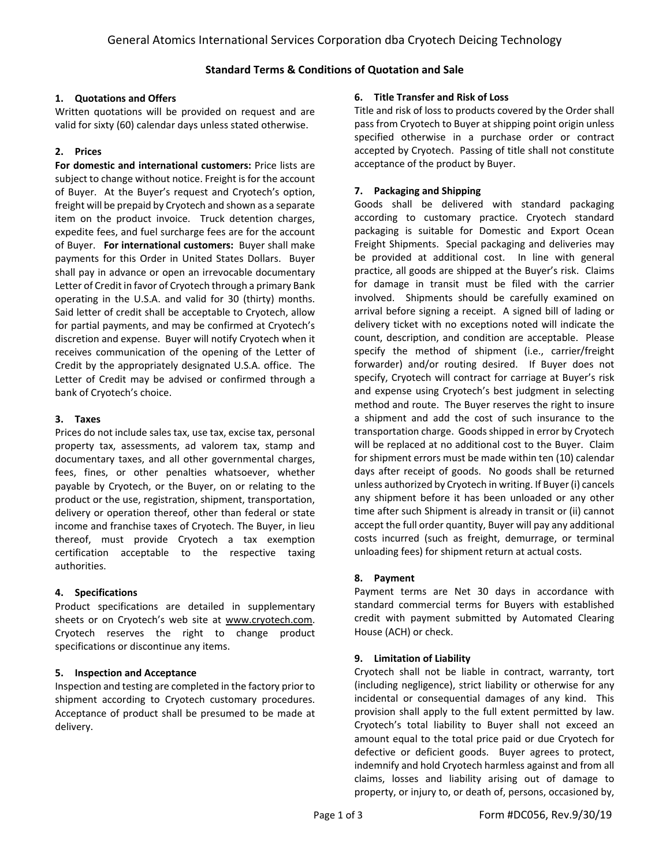# **Standard Terms & Conditions of Quotation and Sale**

## **1. Quotations and Offers**

Written quotations will be provided on request and are valid for sixty (60) calendar days unless stated otherwise.

# **2. Prices**

**For domestic and international customers:** Price lists are subject to change without notice. Freight is for the account of Buyer. At the Buyer's request and Cryotech's option, freight will be prepaid by Cryotech and shown as a separate item on the product invoice. Truck detention charges, expedite fees, and fuel surcharge fees are for the account of Buyer. **For international customers:** Buyer shall make payments for this Order in United States Dollars. Buyer shall pay in advance or open an irrevocable documentary Letter of Credit in favor of Cryotech through a primary Bank operating in the U.S.A. and valid for 30 (thirty) months. Said letter of credit shall be acceptable to Cryotech, allow for partial payments, and may be confirmed at Cryotech's discretion and expense. Buyer will notify Cryotech when it receives communication of the opening of the Letter of Credit by the appropriately designated U.S.A. office. The Letter of Credit may be advised or confirmed through a bank of Cryotech's choice.

## **3. Taxes**

Prices do not include sales tax, use tax, excise tax, personal property tax, assessments, ad valorem tax, stamp and documentary taxes, and all other governmental charges, fees, fines, or other penalties whatsoever, whether payable by Cryotech, or the Buyer, on or relating to the product or the use, registration, shipment, transportation, delivery or operation thereof, other than federal or state income and franchise taxes of Cryotech. The Buyer, in lieu thereof, must provide Cryotech a tax exemption certification acceptable to the respective taxing authorities.

## **4. Specifications**

Product specifications are detailed in supplementary sheets or on Cryotech's web site at www.cryotech.com. Cryotech reserves the right to change product specifications or discontinue any items.

## **5. Inspection and Acceptance**

Inspection and testing are completed in the factory prior to shipment according to Cryotech customary procedures. Acceptance of product shall be presumed to be made at delivery.

#### **6. Title Transfer and Risk of Loss**

Title and risk of loss to products covered by the Order shall pass from Cryotech to Buyer at shipping point origin unless specified otherwise in a purchase order or contract accepted by Cryotech. Passing of title shall not constitute acceptance of the product by Buyer.

## **7. Packaging and Shipping**

Goods shall be delivered with standard packaging according to customary practice. Cryotech standard packaging is suitable for Domestic and Export Ocean Freight Shipments. Special packaging and deliveries may be provided at additional cost. In line with general practice, all goods are shipped at the Buyer's risk. Claims for damage in transit must be filed with the carrier involved. Shipments should be carefully examined on arrival before signing a receipt. A signed bill of lading or delivery ticket with no exceptions noted will indicate the count, description, and condition are acceptable. Please specify the method of shipment (i.e., carrier/freight forwarder) and/or routing desired. If Buyer does not specify, Cryotech will contract for carriage at Buyer's risk and expense using Cryotech's best judgment in selecting method and route. The Buyer reserves the right to insure a shipment and add the cost of such insurance to the transportation charge. Goods shipped in error by Cryotech will be replaced at no additional cost to the Buyer. Claim for shipment errors must be made within ten (10) calendar days after receipt of goods. No goods shall be returned unless authorized by Cryotech in writing. If Buyer (i) cancels any shipment before it has been unloaded or any other time after such Shipment is already in transit or (ii) cannot accept the full order quantity, Buyer will pay any additional costs incurred (such as freight, demurrage, or terminal unloading fees) for shipment return at actual costs.

## **8. Payment**

Payment terms are Net 30 days in accordance with standard commercial terms for Buyers with established credit with payment submitted by Automated Clearing House (ACH) or check.

## **9. Limitation of Liability**

Cryotech shall not be liable in contract, warranty, tort (including negligence), strict liability or otherwise for any incidental or consequential damages of any kind. This provision shall apply to the full extent permitted by law. Cryotech's total liability to Buyer shall not exceed an amount equal to the total price paid or due Cryotech for defective or deficient goods. Buyer agrees to protect, indemnify and hold Cryotech harmless against and from all claims, losses and liability arising out of damage to property, or injury to, or death of, persons, occasioned by,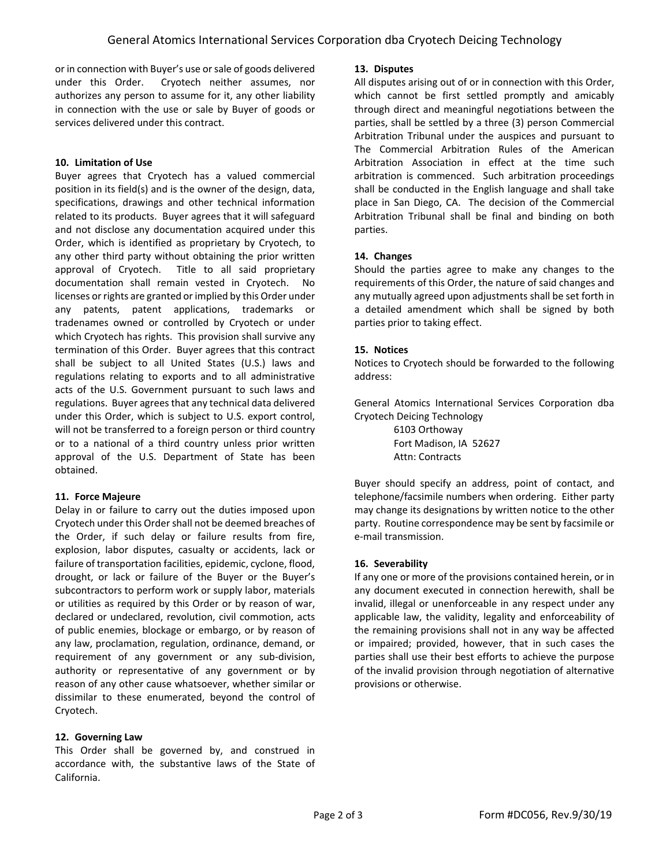or in connection with Buyer's use or sale of goods delivered under this Order. Cryotech neither assumes, nor authorizes any person to assume for it, any other liability in connection with the use or sale by Buyer of goods or services delivered under this contract.

## **10. Limitation of Use**

Buyer agrees that Cryotech has a valued commercial position in its field(s) and is the owner of the design, data, specifications, drawings and other technical information related to its products. Buyer agrees that it will safeguard and not disclose any documentation acquired under this Order, which is identified as proprietary by Cryotech, to any other third party without obtaining the prior written approval of Cryotech. Title to all said proprietary documentation shall remain vested in Cryotech. No licenses or rights are granted or implied by this Order under any patents, patent applications, trademarks or tradenames owned or controlled by Cryotech or under which Cryotech has rights. This provision shall survive any termination of this Order. Buyer agrees that this contract shall be subject to all United States (U.S.) laws and regulations relating to exports and to all administrative acts of the U.S. Government pursuant to such laws and regulations. Buyer agrees that any technical data delivered under this Order, which is subject to U.S. export control, will not be transferred to a foreign person or third country or to a national of a third country unless prior written approval of the U.S. Department of State has been obtained.

## **11. Force Majeure**

Delay in or failure to carry out the duties imposed upon Cryotech under this Order shall not be deemed breaches of the Order, if such delay or failure results from fire, explosion, labor disputes, casualty or accidents, lack or failure of transportation facilities, epidemic, cyclone, flood, drought, or lack or failure of the Buyer or the Buyer's subcontractors to perform work or supply labor, materials or utilities as required by this Order or by reason of war, declared or undeclared, revolution, civil commotion, acts of public enemies, blockage or embargo, or by reason of any law, proclamation, regulation, ordinance, demand, or requirement of any government or any sub-division, authority or representative of any government or by reason of any other cause whatsoever, whether similar or dissimilar to these enumerated, beyond the control of Cryotech.

## **12. Governing Law**

This Order shall be governed by, and construed in accordance with, the substantive laws of the State of California.

#### **13. Disputes**

All disputes arising out of or in connection with this Order, which cannot be first settled promptly and amicably through direct and meaningful negotiations between the parties, shall be settled by a three (3) person Commercial Arbitration Tribunal under the auspices and pursuant to The Commercial Arbitration Rules of the American Arbitration Association in effect at the time such arbitration is commenced. Such arbitration proceedings shall be conducted in the English language and shall take place in San Diego, CA. The decision of the Commercial Arbitration Tribunal shall be final and binding on both parties.

## **14. Changes**

Should the parties agree to make any changes to the requirements of this Order, the nature of said changes and any mutually agreed upon adjustments shall be set forth in a detailed amendment which shall be signed by both parties prior to taking effect.

#### **15. Notices**

Notices to Cryotech should be forwarded to the following address:

General Atomics International Services Corporation dba Cryotech Deicing Technology

> 6103 Orthoway Fort Madison, IA 52627 Attn: Contracts

Buyer should specify an address, point of contact, and telephone/facsimile numbers when ordering. Either party may change its designations by written notice to the other party. Routine correspondence may be sent by facsimile or e‐mail transmission.

#### **16. Severability**

If any one or more of the provisions contained herein, or in any document executed in connection herewith, shall be invalid, illegal or unenforceable in any respect under any applicable law, the validity, legality and enforceability of the remaining provisions shall not in any way be affected or impaired; provided, however, that in such cases the parties shall use their best efforts to achieve the purpose of the invalid provision through negotiation of alternative provisions or otherwise.